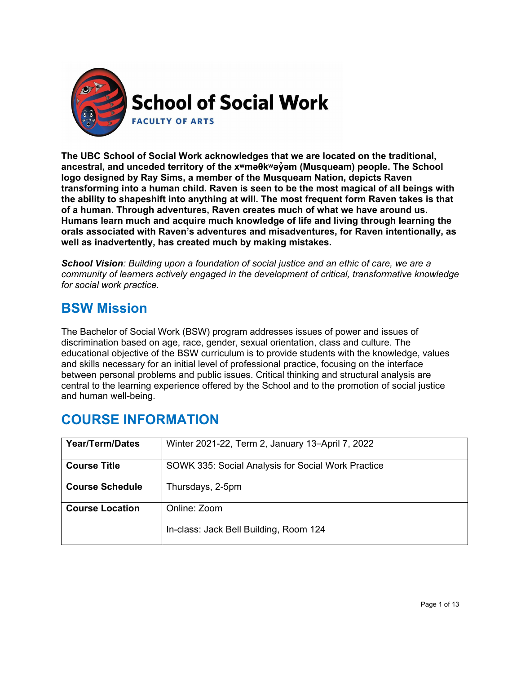

**The UBC School of Social Work acknowledges that we are located on the traditional, ancestral, and unceded territory of the [xʷməθkʷəy̓əm](http://www.musqueam.bc.ca/) (Musqueam) people. The School logo designed by Ray Sims, a member of the Musqueam Nation, depicts Raven transforming into a human child. Raven is seen to be the most magical of all beings with the ability to shapeshift into anything at will. The most frequent form Raven takes is that of a human. Through adventures, Raven creates much of what we have around us. Humans learn much and acquire much knowledge of life and living through learning the orals associated with Raven's adventures and misadventures, for Raven intentionally, as well as inadvertently, has created much by making mistakes.**

*School Vision: Building upon a foundation of social justice and an ethic of care, we are a community of learners actively engaged in the development of critical, transformative knowledge for social work practice.*

### **BSW Mission**

The Bachelor of Social Work (BSW) program addresses issues of power and issues of discrimination based on age, race, gender, sexual orientation, class and culture. The educational objective of the BSW curriculum is to provide students with the knowledge, values and skills necessary for an initial level of professional practice, focusing on the interface between personal problems and public issues. Critical thinking and structural analysis are central to the learning experience offered by the School and to the promotion of social justice and human well-being.

| <b>Year/Term/Dates</b> | Winter 2021-22, Term 2, January 13-April 7, 2022   |
|------------------------|----------------------------------------------------|
| <b>Course Title</b>    | SOWK 335: Social Analysis for Social Work Practice |
| <b>Course Schedule</b> | Thursdays, 2-5pm                                   |
| <b>Course Location</b> | Online: Zoom                                       |
|                        | In-class: Jack Bell Building, Room 124             |

### **COURSE INFORMATION**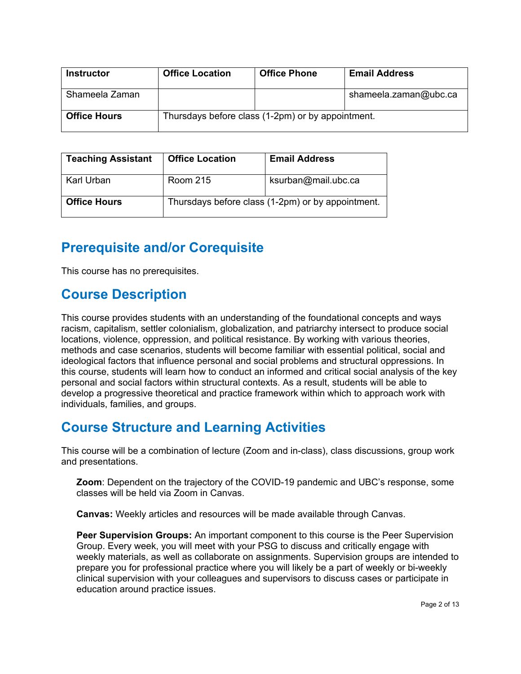| Instructor          | <b>Office Location</b>                            | <b>Office Phone</b> | <b>Email Address</b>  |
|---------------------|---------------------------------------------------|---------------------|-----------------------|
| Shameela Zaman      |                                                   |                     | shameela.zaman@ubc.ca |
| <b>Office Hours</b> | Thursdays before class (1-2pm) or by appointment. |                     |                       |

| <b>Teaching Assistant</b> | <b>Office Location</b> | <b>Email Address</b>                              |
|---------------------------|------------------------|---------------------------------------------------|
| Karl Urban                | <b>Room 215</b>        | ksurban@mail.ubc.ca                               |
| <b>Office Hours</b>       |                        | Thursdays before class (1-2pm) or by appointment. |

### **Prerequisite and/or Corequisite**

This course has no prerequisites.

### **Course Description**

This course provides students with an understanding of the foundational concepts and ways racism, capitalism, settler colonialism, globalization, and patriarchy intersect to produce social locations, violence, oppression, and political resistance. By working with various theories, methods and case scenarios, students will become familiar with essential political, social and ideological factors that influence personal and social problems and structural oppressions. In this course, students will learn how to conduct an informed and critical social analysis of the key personal and social factors within structural contexts. As a result, students will be able to develop a progressive theoretical and practice framework within which to approach work with individuals, families, and groups.

### **Course Structure and Learning Activities**

This course will be a combination of lecture (Zoom and in-class), class discussions, group work and presentations.

**Zoom**: Dependent on the trajectory of the COVID-19 pandemic and UBC's response, some classes will be held via Zoom in Canvas.

**Canvas:** Weekly articles and resources will be made available through Canvas.

**Peer Supervision Groups:** An important component to this course is the Peer Supervision Group. Every week, you will meet with your PSG to discuss and critically engage with weekly materials, as well as collaborate on assignments. Supervision groups are intended to prepare you for professional practice where you will likely be a part of weekly or bi-weekly clinical supervision with your colleagues and supervisors to discuss cases or participate in education around practice issues.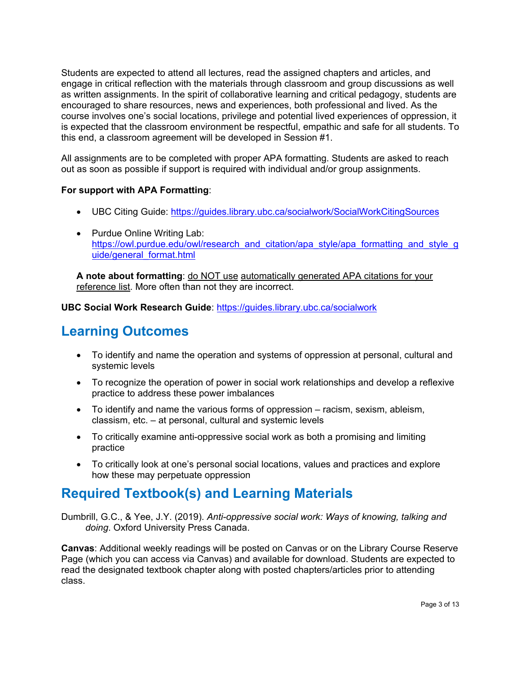Students are expected to attend all lectures, read the assigned chapters and articles, and engage in critical reflection with the materials through classroom and group discussions as well as written assignments. In the spirit of collaborative learning and critical pedagogy, students are encouraged to share resources, news and experiences, both professional and lived. As the course involves one's social locations, privilege and potential lived experiences of oppression, it is expected that the classroom environment be respectful, empathic and safe for all students. To this end, a classroom agreement will be developed in Session #1.

All assignments are to be completed with proper APA formatting. Students are asked to reach out as soon as possible if support is required with individual and/or group assignments.

#### **For support with APA Formatting**:

- UBC Citing Guide:<https://guides.library.ubc.ca/socialwork/SocialWorkCitingSources>
- Purdue Online Writing Lab: [https://owl.purdue.edu/owl/research\\_and\\_citation/apa\\_style/apa\\_formatting\\_and\\_style\\_g](https://owl.purdue.edu/owl/research_and_citation/apa_style/apa_formatting_and_style_guide/general_format.html) [uide/general\\_format.html](https://owl.purdue.edu/owl/research_and_citation/apa_style/apa_formatting_and_style_guide/general_format.html)

**A note about formatting**: do NOT use automatically generated APA citations for your reference list. More often than not they are incorrect.

**UBC Social Work Research Guide**:<https://guides.library.ubc.ca/socialwork>

## **Learning Outcomes**

- To identify and name the operation and systems of oppression at personal, cultural and systemic levels
- To recognize the operation of power in social work relationships and develop a reflexive practice to address these power imbalances
- To identify and name the various forms of oppression racism, sexism, ableism, classism, etc. – at personal, cultural and systemic levels
- To critically examine anti-oppressive social work as both a promising and limiting practice
- To critically look at one's personal social locations, values and practices and explore how these may perpetuate oppression

### **Required Textbook(s) and Learning Materials**

Dumbrill, G.C., & Yee, J.Y. (2019). *Anti-oppressive social work: Ways of knowing, talking and doing*. Oxford University Press Canada.

**Canvas**: Additional weekly readings will be posted on Canvas or on the Library Course Reserve Page (which you can access via Canvas) and available for download. Students are expected to read the designated textbook chapter along with posted chapters/articles prior to attending class.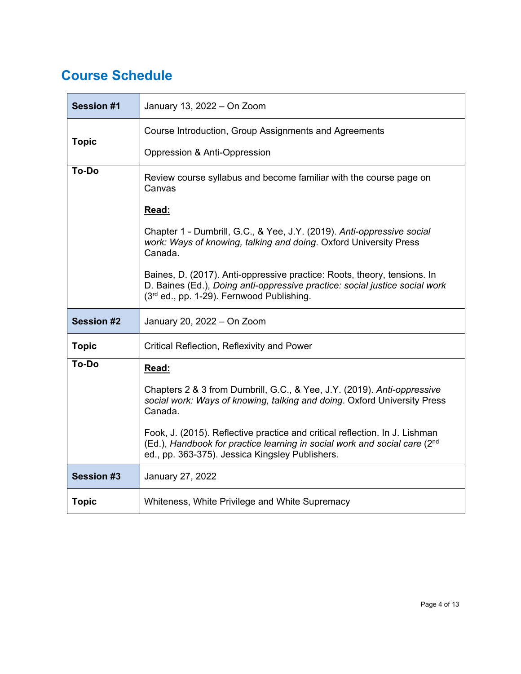## **Course Schedule**

| <b>Session #1</b>                                                                     | January 13, 2022 - On Zoom                                                                                                                                                                                  |  |  |
|---------------------------------------------------------------------------------------|-------------------------------------------------------------------------------------------------------------------------------------------------------------------------------------------------------------|--|--|
|                                                                                       | Course Introduction, Group Assignments and Agreements                                                                                                                                                       |  |  |
| <b>Topic</b>                                                                          | Oppression & Anti-Oppression                                                                                                                                                                                |  |  |
| To-Do<br>Review course syllabus and become familiar with the course page on<br>Canvas |                                                                                                                                                                                                             |  |  |
|                                                                                       | Read:                                                                                                                                                                                                       |  |  |
|                                                                                       | Chapter 1 - Dumbrill, G.C., & Yee, J.Y. (2019). Anti-oppressive social<br>work: Ways of knowing, talking and doing. Oxford University Press<br>Canada.                                                      |  |  |
|                                                                                       | Baines, D. (2017). Anti-oppressive practice: Roots, theory, tensions. In<br>D. Baines (Ed.), Doing anti-oppressive practice: social justice social work<br>(3rd ed., pp. 1-29). Fernwood Publishing.        |  |  |
| <b>Session #2</b>                                                                     | January 20, 2022 - On Zoom                                                                                                                                                                                  |  |  |
| <b>Topic</b>                                                                          | Critical Reflection, Reflexivity and Power                                                                                                                                                                  |  |  |
| To-Do                                                                                 | Read:                                                                                                                                                                                                       |  |  |
|                                                                                       | Chapters 2 & 3 from Dumbrill, G.C., & Yee, J.Y. (2019). Anti-oppressive<br>social work: Ways of knowing, talking and doing. Oxford University Press<br>Canada.                                              |  |  |
|                                                                                       | Fook, J. (2015). Reflective practice and critical reflection. In J. Lishman<br>(Ed.), Handbook for practice learning in social work and social care (2nd<br>ed., pp. 363-375). Jessica Kingsley Publishers. |  |  |
| <b>Session #3</b>                                                                     | January 27, 2022                                                                                                                                                                                            |  |  |
| <b>Topic</b>                                                                          | Whiteness, White Privilege and White Supremacy                                                                                                                                                              |  |  |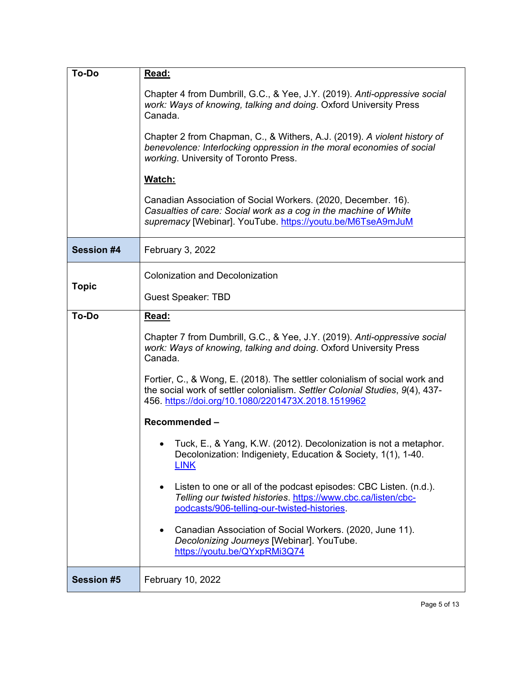| <b>To-Do</b>      | Read:                                                                                                                                                                                                            |  |  |
|-------------------|------------------------------------------------------------------------------------------------------------------------------------------------------------------------------------------------------------------|--|--|
|                   | Chapter 4 from Dumbrill, G.C., & Yee, J.Y. (2019). Anti-oppressive social<br>work: Ways of knowing, talking and doing. Oxford University Press<br>Canada.                                                        |  |  |
|                   | Chapter 2 from Chapman, C., & Withers, A.J. (2019). A violent history of<br>benevolence: Interlocking oppression in the moral economies of social<br>working. University of Toronto Press.                       |  |  |
|                   | Watch:                                                                                                                                                                                                           |  |  |
|                   | Canadian Association of Social Workers. (2020, December. 16).<br>Casualties of care: Social work as a cog in the machine of White<br>supremacy [Webinar]. YouTube. https://youtu.be/M6TseA9mJuM                  |  |  |
| <b>Session #4</b> | February 3, 2022                                                                                                                                                                                                 |  |  |
|                   | <b>Colonization and Decolonization</b>                                                                                                                                                                           |  |  |
| <b>Topic</b>      | <b>Guest Speaker: TBD</b>                                                                                                                                                                                        |  |  |
| To-Do             | Read:                                                                                                                                                                                                            |  |  |
|                   | Chapter 7 from Dumbrill, G.C., & Yee, J.Y. (2019). Anti-oppressive social<br>work: Ways of knowing, talking and doing. Oxford University Press<br>Canada.                                                        |  |  |
|                   | Fortier, C., & Wong, E. (2018). The settler colonialism of social work and<br>the social work of settler colonialism. Settler Colonial Studies, 9(4), 437-<br>456. https://doi.org/10.1080/2201473X.2018.1519962 |  |  |
|                   | Recommended-                                                                                                                                                                                                     |  |  |
|                   | • Tuck, E., & Yang, K.W. (2012). Decolonization is not a metaphor.<br>Decolonization: Indigeniety, Education & Society, 1(1), 1-40.<br><u>LINK</u>                                                               |  |  |
|                   | Listen to one or all of the podcast episodes: CBC Listen. (n.d.).<br>$\bullet$<br>Telling our twisted histories. https://www.cbc.ca/listen/cbc-<br>podcasts/906-telling-our-twisted-histories                    |  |  |
|                   | Canadian Association of Social Workers. (2020, June 11).<br>٠<br>Decolonizing Journeys [Webinar]. YouTube.<br>https://youtu.be/QYxpRMi3Q74                                                                       |  |  |
| <b>Session #5</b> | February 10, 2022                                                                                                                                                                                                |  |  |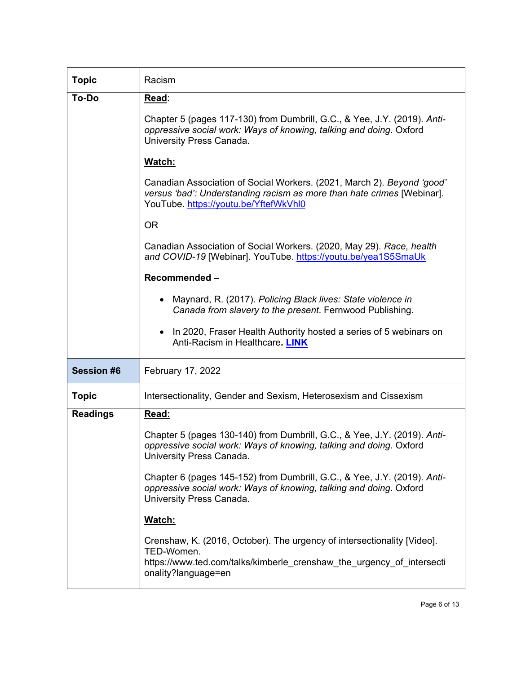| <b>Topic</b>      | Racism                                                                                                                                                                                    |  |  |
|-------------------|-------------------------------------------------------------------------------------------------------------------------------------------------------------------------------------------|--|--|
| To-Do             | Read:                                                                                                                                                                                     |  |  |
|                   | Chapter 5 (pages 117-130) from Dumbrill, G.C., & Yee, J.Y. (2019). Anti-<br>oppressive social work: Ways of knowing, talking and doing. Oxford<br>University Press Canada.                |  |  |
|                   | Watch:                                                                                                                                                                                    |  |  |
|                   | Canadian Association of Social Workers. (2021, March 2). Beyond 'good'<br>versus 'bad': Understanding racism as more than hate crimes [Webinar].<br>YouTube. https://youtu.be/YftefWkVhl0 |  |  |
|                   | <b>OR</b>                                                                                                                                                                                 |  |  |
|                   | Canadian Association of Social Workers. (2020, May 29). Race, health<br>and COVID-19 [Webinar]. YouTube. https://youtu.be/yea1S5SmaUk                                                     |  |  |
|                   | Recommended-                                                                                                                                                                              |  |  |
|                   | Maynard, R. (2017). Policing Black lives: State violence in<br>$\bullet$<br>Canada from slavery to the present. Fernwood Publishing.                                                      |  |  |
|                   | In 2020, Fraser Health Authority hosted a series of 5 webinars on<br>$\bullet$<br>Anti-Racism in Healthcare. LINK                                                                         |  |  |
| <b>Session #6</b> | February 17, 2022                                                                                                                                                                         |  |  |
| <b>Topic</b>      | Intersectionality, Gender and Sexism, Heterosexism and Cissexism                                                                                                                          |  |  |
| <b>Readings</b>   | Read:                                                                                                                                                                                     |  |  |
|                   | Chapter 5 (pages 130-140) from Dumbrill, G.C., & Yee, J.Y. (2019). Anti-<br>oppressive social work: Ways of knowing, talking and doing. Oxford<br>University Press Canada.                |  |  |
|                   | Chapter 6 (pages 145-152) from Dumbrill, G.C., & Yee, J.Y. (2019). Anti-<br>oppressive social work: Ways of knowing, talking and doing. Oxford<br>University Press Canada.                |  |  |
|                   | Watch:                                                                                                                                                                                    |  |  |
|                   | Crenshaw, K. (2016, October). The urgency of intersectionality [Video].<br>TED-Women.<br>https://www.ted.com/talks/kimberle crenshaw the urgency of intersecti<br>onality?language=en     |  |  |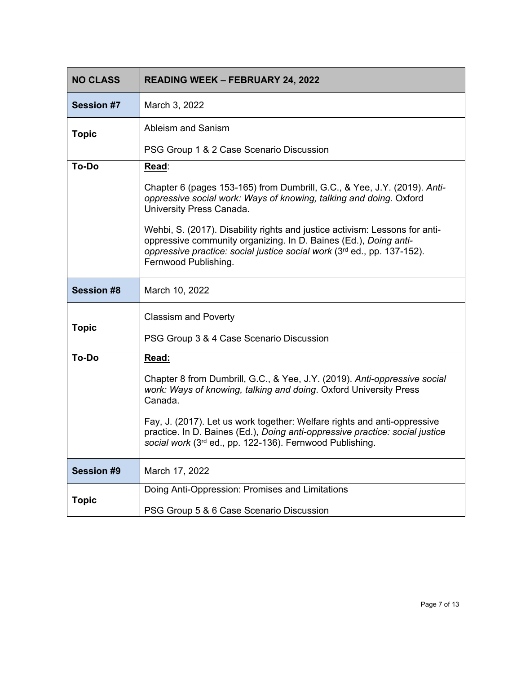| <b>NO CLASS</b>   | <b>READING WEEK - FEBRUARY 24, 2022</b>                                                                                                                                                                                                            |
|-------------------|----------------------------------------------------------------------------------------------------------------------------------------------------------------------------------------------------------------------------------------------------|
| <b>Session #7</b> | March 3, 2022                                                                                                                                                                                                                                      |
| <b>Topic</b>      | Ableism and Sanism                                                                                                                                                                                                                                 |
|                   | PSG Group 1 & 2 Case Scenario Discussion                                                                                                                                                                                                           |
| To-Do             | <u>Read:</u>                                                                                                                                                                                                                                       |
|                   | Chapter 6 (pages 153-165) from Dumbrill, G.C., & Yee, J.Y. (2019). Anti-<br>oppressive social work: Ways of knowing, talking and doing. Oxford<br>University Press Canada.                                                                         |
|                   | Wehbi, S. (2017). Disability rights and justice activism: Lessons for anti-<br>oppressive community organizing. In D. Baines (Ed.), Doing anti-<br>oppressive practice: social justice social work (3rd ed., pp. 137-152).<br>Fernwood Publishing. |
| <b>Session #8</b> | March 10, 2022                                                                                                                                                                                                                                     |
|                   | <b>Classism and Poverty</b>                                                                                                                                                                                                                        |
| <b>Topic</b>      | PSG Group 3 & 4 Case Scenario Discussion                                                                                                                                                                                                           |
| <b>To-Do</b>      | Read:                                                                                                                                                                                                                                              |
|                   | Chapter 8 from Dumbrill, G.C., & Yee, J.Y. (2019). Anti-oppressive social<br>work: Ways of knowing, talking and doing. Oxford University Press<br>Canada.                                                                                          |
|                   | Fay, J. (2017). Let us work together: Welfare rights and anti-oppressive<br>practice. In D. Baines (Ed.), Doing anti-oppressive practice: social justice<br>social work (3rd ed., pp. 122-136). Fernwood Publishing.                               |
| <b>Session #9</b> | March 17, 2022                                                                                                                                                                                                                                     |
| <b>Topic</b>      | Doing Anti-Oppression: Promises and Limitations                                                                                                                                                                                                    |
|                   | PSG Group 5 & 6 Case Scenario Discussion                                                                                                                                                                                                           |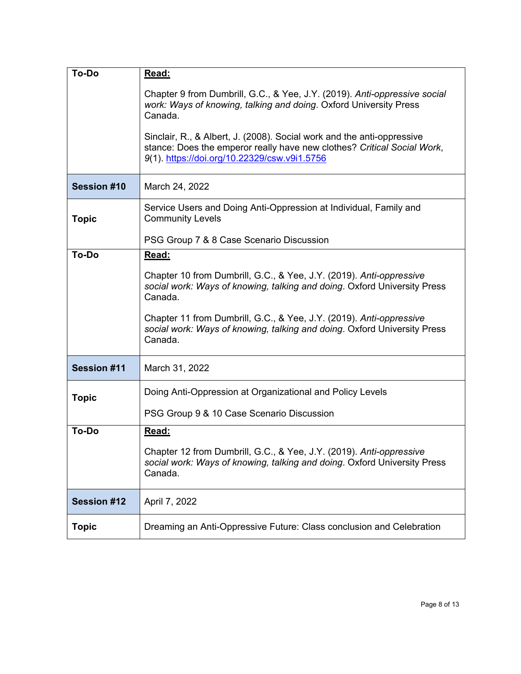| To-Do              | Read:                                                                                                                                                                                             |  |  |
|--------------------|---------------------------------------------------------------------------------------------------------------------------------------------------------------------------------------------------|--|--|
|                    | Chapter 9 from Dumbrill, G.C., & Yee, J.Y. (2019). Anti-oppressive social<br>work: Ways of knowing, talking and doing. Oxford University Press<br>Canada.                                         |  |  |
|                    | Sinclair, R., & Albert, J. (2008). Social work and the anti-oppressive<br>stance: Does the emperor really have new clothes? Critical Social Work,<br>9(1). https://doi.org/10.22329/csw.v9i1.5756 |  |  |
| Session #10        | March 24, 2022                                                                                                                                                                                    |  |  |
| <b>Topic</b>       | Service Users and Doing Anti-Oppression at Individual, Family and<br><b>Community Levels</b>                                                                                                      |  |  |
|                    | PSG Group 7 & 8 Case Scenario Discussion                                                                                                                                                          |  |  |
| To-Do              | Read:                                                                                                                                                                                             |  |  |
|                    | Chapter 10 from Dumbrill, G.C., & Yee, J.Y. (2019). Anti-oppressive<br>social work: Ways of knowing, talking and doing. Oxford University Press<br>Canada.                                        |  |  |
|                    | Chapter 11 from Dumbrill, G.C., & Yee, J.Y. (2019). Anti-oppressive<br>social work: Ways of knowing, talking and doing. Oxford University Press<br>Canada.                                        |  |  |
| <b>Session #11</b> | March 31, 2022                                                                                                                                                                                    |  |  |
| <b>Topic</b>       | Doing Anti-Oppression at Organizational and Policy Levels                                                                                                                                         |  |  |
|                    | PSG Group 9 & 10 Case Scenario Discussion                                                                                                                                                         |  |  |
| To-Do              | Read:                                                                                                                                                                                             |  |  |
|                    | Chapter 12 from Dumbrill, G.C., & Yee, J.Y. (2019). Anti-oppressive<br>social work: Ways of knowing, talking and doing. Oxford University Press<br>Canada.                                        |  |  |
| <b>Session #12</b> | April 7, 2022                                                                                                                                                                                     |  |  |
| <b>Topic</b>       | Dreaming an Anti-Oppressive Future: Class conclusion and Celebration                                                                                                                              |  |  |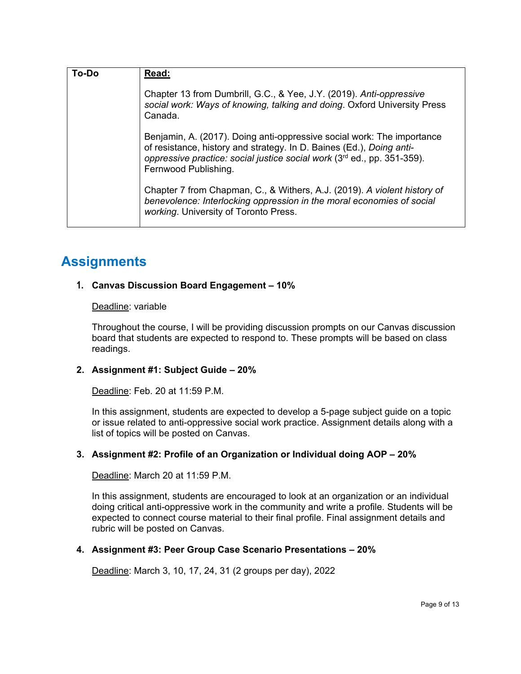| To-Do | Read:                                                                                                                                                                                                                                             |
|-------|---------------------------------------------------------------------------------------------------------------------------------------------------------------------------------------------------------------------------------------------------|
|       | Chapter 13 from Dumbrill, G.C., & Yee, J.Y. (2019). Anti-oppressive<br>social work: Ways of knowing, talking and doing. Oxford University Press<br>Canada.                                                                                        |
|       | Benjamin, A. (2017). Doing anti-oppressive social work: The importance<br>of resistance, history and strategy. In D. Baines (Ed.), Doing anti-<br>oppressive practice: social justice social work (3rd ed., pp. 351-359).<br>Fernwood Publishing. |
|       | Chapter 7 from Chapman, C., & Withers, A.J. (2019). A violent history of<br>benevolence: Interlocking oppression in the moral economies of social<br>working. University of Toronto Press.                                                        |

### **Assignments**

#### **1. Canvas Discussion Board Engagement – 10%**

#### Deadline: variable

Throughout the course, I will be providing discussion prompts on our Canvas discussion board that students are expected to respond to. These prompts will be based on class readings.

#### **2. Assignment #1: Subject Guide – 20%**

Deadline: Feb. 20 at 11:59 P.M.

In this assignment, students are expected to develop a 5-page subject guide on a topic or issue related to anti-oppressive social work practice. Assignment details along with a list of topics will be posted on Canvas.

#### **3. Assignment #2: Profile of an Organization or Individual doing AOP – 20%**

Deadline: March 20 at 11:59 P.M.

In this assignment, students are encouraged to look at an organization or an individual doing critical anti-oppressive work in the community and write a profile. Students will be expected to connect course material to their final profile. Final assignment details and rubric will be posted on Canvas.

#### **4. Assignment #3: Peer Group Case Scenario Presentations – 20%**

Deadline: March 3, 10, 17, 24, 31 (2 groups per day), 2022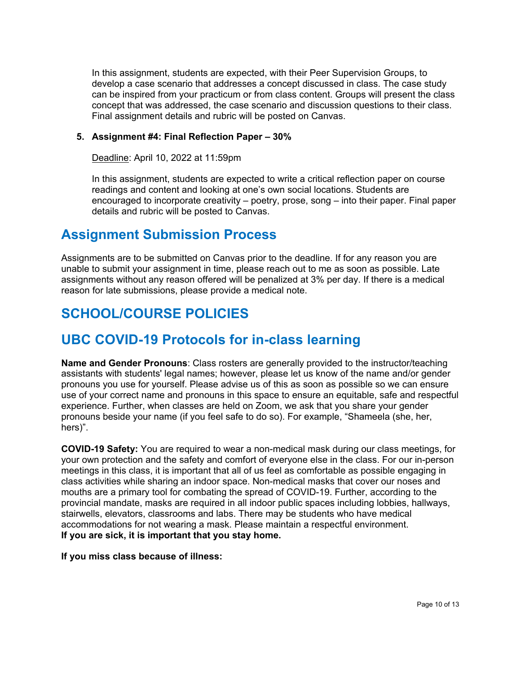In this assignment, students are expected, with their Peer Supervision Groups, to develop a case scenario that addresses a concept discussed in class. The case study can be inspired from your practicum or from class content. Groups will present the class concept that was addressed, the case scenario and discussion questions to their class. Final assignment details and rubric will be posted on Canvas.

#### **5. Assignment #4: Final Reflection Paper – 30%**

Deadline: April 10, 2022 at 11:59pm

In this assignment, students are expected to write a critical reflection paper on course readings and content and looking at one's own social locations. Students are encouraged to incorporate creativity – poetry, prose, song – into their paper. Final paper details and rubric will be posted to Canvas.

### **Assignment Submission Process**

Assignments are to be submitted on Canvas prior to the deadline. If for any reason you are unable to submit your assignment in time, please reach out to me as soon as possible. Late assignments without any reason offered will be penalized at 3% per day. If there is a medical reason for late submissions, please provide a medical note.

# **SCHOOL/COURSE POLICIES**

### **UBC COVID-19 Protocols for in-class learning**

**Name and Gender Pronouns**: Class rosters are generally provided to the instructor/teaching assistants with students' legal names; however, please let us know of the name and/or gender pronouns you use for yourself. Please advise us of this as soon as possible so we can ensure use of your correct name and pronouns in this space to ensure an equitable, safe and respectful experience. Further, when classes are held on Zoom, we ask that you share your gender pronouns beside your name (if you feel safe to do so). For example, "Shameela (she, her, hers)".

**COVID-19 Safety:** You are required to wear a non-medical mask during our class meetings, for your own protection and the safety and comfort of everyone else in the class. For our in-person meetings in this class, it is important that all of us feel as comfortable as possible engaging in class activities while sharing an indoor space. Non-medical masks that cover our noses and mouths are a primary tool for combating the spread of COVID-19. Further, according to the provincial mandate, masks are required in all indoor public spaces including lobbies, hallways, stairwells, elevators, classrooms and labs. There may be students who have medical accommodations for not wearing a mask. Please maintain a respectful environment. **If you are sick, it is important that you stay home.**

**If you miss class because of illness:**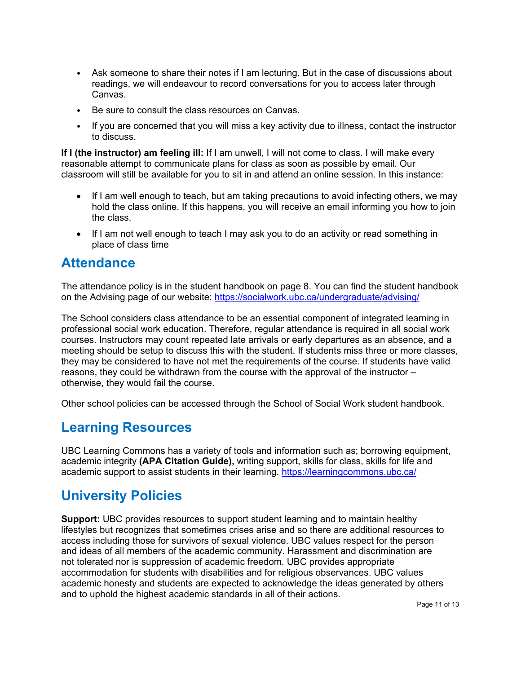- Ask someone to share their notes if I am lecturing. But in the case of discussions about readings, we will endeavour to record conversations for you to access later through Canvas.
- Be sure to consult the class resources on Canvas.
- If you are concerned that you will miss a key activity due to illness, contact the instructor to discuss.

**If I (the instructor) am feeling ill:** If I am unwell, I will not come to class. I will make every reasonable attempt to communicate plans for class as soon as possible by email. Our classroom will still be available for you to sit in and attend an online session. In this instance:

- If I am well enough to teach, but am taking precautions to avoid infecting others, we may hold the class online. If this happens, you will receive an email informing you how to join the class.
- If I am not well enough to teach I may ask you to do an activity or read something in place of class time

### **Attendance**

The attendance policy is in the student handbook on page 8. You can find the student handbook on the Advising page of our website:<https://socialwork.ubc.ca/undergraduate/advising/>

The School considers class attendance to be an essential component of integrated learning in professional social work education. Therefore, regular attendance is required in all social work courses. Instructors may count repeated late arrivals or early departures as an absence, and a meeting should be setup to discuss this with the student. If students miss three or more classes, they may be considered to have not met the requirements of the course. If students have valid reasons, they could be withdrawn from the course with the approval of the instructor – otherwise, they would fail the course.

Other school policies can be accessed through the School of Social Work student handbook.

### **Learning Resources**

UBC Learning Commons has a variety of tools and information such as; borrowing equipment, academic integrity **(APA Citation Guide),** writing support, skills for class, skills for life and academic support to assist students in their learning.<https://learningcommons.ubc.ca/>

### **University Policies**

**Support:** UBC provides resources to support student learning and to maintain healthy lifestyles but recognizes that sometimes crises arise and so there are additional resources to access including those for survivors of sexual violence. UBC values respect for the person and ideas of all members of the academic community. Harassment and discrimination are not tolerated nor is suppression of academic freedom. UBC provides appropriate accommodation for students with disabilities and for religious observances. UBC values academic honesty and students are expected to acknowledge the ideas generated by others and to uphold the highest academic standards in all of their actions.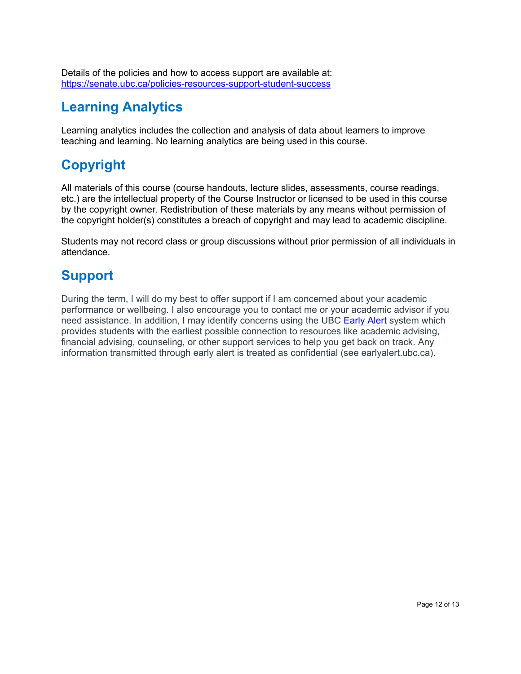Details of the policies and how to access support are available at: <https://senate.ubc.ca/policies-resources-support-student-success>

# **Learning Analytics**

Learning analytics includes the collection and analysis of data about learners to improve teaching and learning. No learning analytics are being used in this course.

# **Copyright**

All materials of this course (course handouts, lecture slides, assessments, course readings, etc.) are the intellectual property of the Course Instructor or licensed to be used in this course by the copyright owner. Redistribution of these materials by any means without permission of the copyright holder(s) constitutes a breach of copyright and may lead to academic discipline.

Students may not record class or group discussions without prior permission of all individuals in attendance.

# **Support**

During the term, I will do my best to offer support if I am concerned about your academic performance or wellbeing. I also encourage you to contact me or your academic advisor if you need assistance. In addition, I may identify concerns using the UBC [Early Alert](http://earlyalert.ubc.ca/) system which provides students with the earliest possible connection to resources like academic advising, financial advising, counseling, or other support services to help you get back on track. Any information transmitted through early alert is treated as confidential (see earlyalert.ubc.ca).